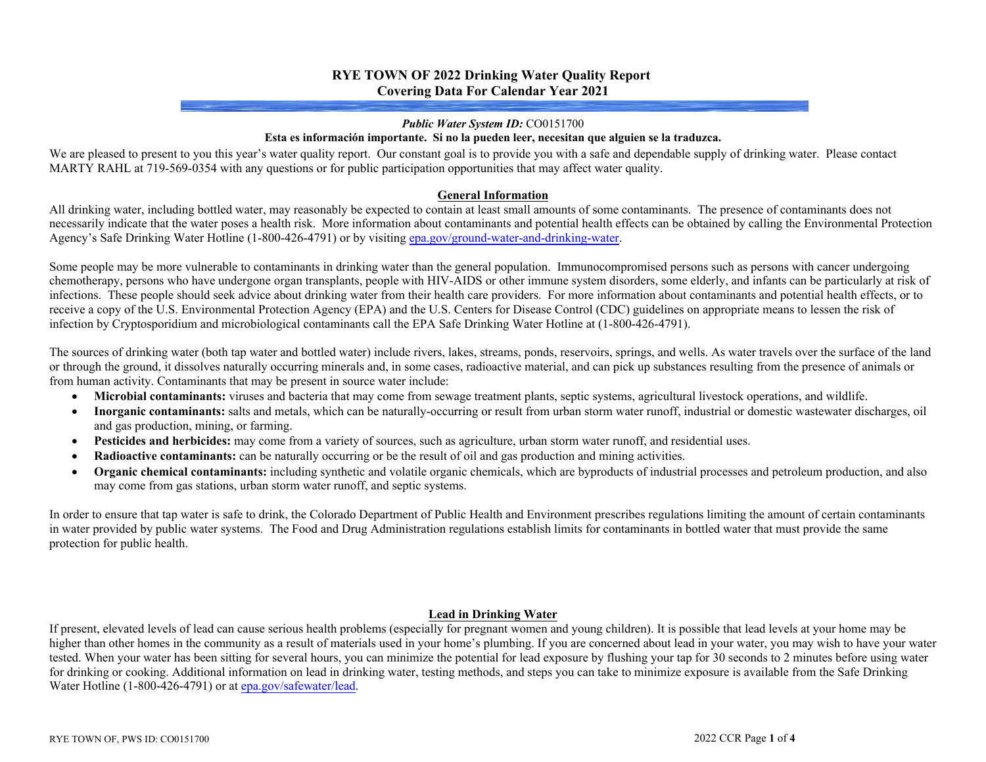# **RYE TOWN OF 2022 Drinking Water Quality Report Covering Data For Calendar Year 2021**

#### *Public Water System ID:* CO0151700

#### **Esta es información importante. Si no la pueden leer, necesitan que alguien se la traduzca.**

We are pleased to present to you this year's water quality report. Our constant goal is to provide you with a safe and dependable supply of drinking water. Please contact MARTY RAHL at 719-569-0354 with any questions or for public participation opportunities that may affect water quality.

#### **General Information**

All drinking water, including bottled water, may reasonably be expected to contain at least small amounts of some contaminants. The presence of contaminants does not necessarily indicate that the water poses a health risk. More information about contaminants and potential health effects can be obtained by calling the Environmental Protection Agency's Safe Drinking Water Hotline (1-800-426-4791) or by visiting epa.gov/ground-water-and-drinking-water.

Some people may be more vulnerable to contaminants in drinking water than the general population. Immunocompromised persons such as persons with cancer undergoing chemotherapy, persons who have undergone organ transplants, people with HIV-AIDS or other immune system disorders, some elderly, and infants can be particularly at risk of infections. These people should seek advice about drinking water from their health care providers. For more information about contaminants and potential health effects, or to receive a copy of the U.S. Environmental Protection Agency (EPA) and the U.S. Centers for Disease Control (CDC) guidelines on appropriate means to lessen the risk of infection by Cryptosporidium and microbiological contaminants call the EPA Safe Drinking Water Hotline at (1-800-426-4791).

The sources of drinking water (both tap water and bottled water) include rivers, lakes, streams, ponds, reservoirs, springs, and wells. As water travels over the surface of the land or through the ground, it dissolves naturally occurring minerals and, in some cases, radioactive material, and can pick up substances resulting from the presence of animals or from human activity. Contaminants that may be present in source water include:

- **Microbial contaminants:** viruses and bacteria that may come from sewage treatment plants, septic systems, agricultural livestock operations, and wildlife.
- **Inorganic contaminants:** salts and metals, which can be naturally-occurring or result from urban storm water runoff, industrial or domestic wastewater discharges, oil and gas production, mining, or farming.
- **Pesticides and herbicides:** may come from a variety of sources, such as agriculture, urban storm water runoff, and residential uses.
- **Radioactive contaminants:** can be naturally occurring or be the result of oil and gas production and mining activities.
- **Organic chemical contaminants:** including synthetic and volatile organic chemicals, which are byproducts of industrial processes and petroleum production, and also may come from gas stations, urban storm water runoff, and septic systems.

In order to ensure that tap water is safe to drink, the Colorado Department of Public Health and Environment prescribes regulations limiting the amount of certain contaminants in water provided by public water systems. The Food and Drug Administration regulations establish limits for contaminants in bottled water that must provide the same protection for public health.

### **Lead in Drinking Water**

If present, elevated levels of lead can cause serious health problems (especially for pregnant women and young children). It is possible that lead levels at your home may be higher than other homes in the community as a result of materials used in your home's plumbing. If you are concerned about lead in your water, you may wish to have your water tested. When your water has been sitting for several hours, you can minimize the potential for lead exposure by flushing your tap for 30 seconds to 2 minutes before using water for drinking or cooking. Additional information on lead in drinking water, testing methods, and steps you can take to minimize exposure is available from the Safe Drinking Water Hotline (1-800-426-4791) or at epa.gov/safewater/lead.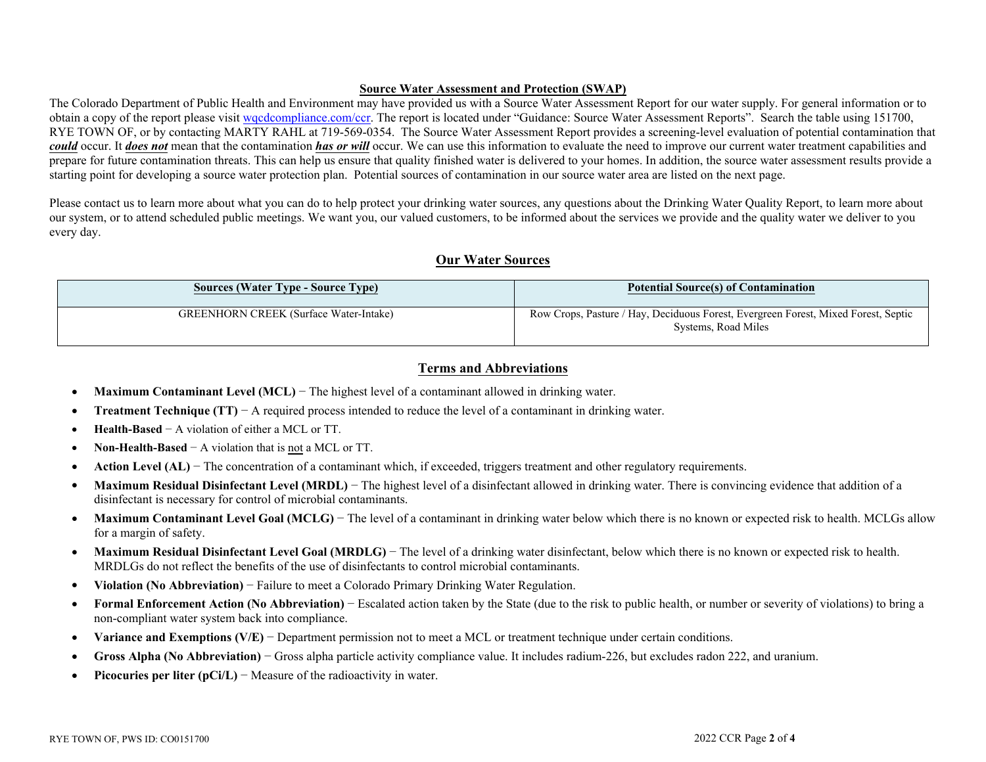### **Source Water Assessment and Protection (SWAP)**

The Colorado Department of Public Health and Environment may have provided us with a Source Water Assessment Report for our water supply. For general information or to obtain a copy of the report please visit wordcompliance.com/ccr. The report is located under "Guidance: Source Water Assessment Reports". Search the table using 151700, RYE TOWN OF, or by contacting MARTY RAHL at 719-569-0354. The Source Water Assessment Report provides a screening-level evaluation of potential contamination that *could* occur. It *does not* mean that the contamination *has or will* occur. We can use this information to evaluate the need to improve our current water treatment capabilities and prepare for future contamination threats. This can help us ensure that quality finished water is delivered to your homes. In addition, the source water assessment results provide a starting point for developing a source water protection plan. Potential sources of contamination in our source water area are listed on the next page.

Please contact us to learn more about what you can do to help protect your drinking water sources, any questions about the Drinking Water Quality Report, to learn more about our system, or to attend scheduled public meetings. We want you, our valued customers, to be informed about the services we provide and the quality water we deliver to you every day.

## **Our Water Sources**

| <b>Sources (Water Type - Source Type)</b>     | <b>Potential Source(s) of Contamination</b>                                                               |
|-----------------------------------------------|-----------------------------------------------------------------------------------------------------------|
| <b>GREENHORN CREEK</b> (Surface Water-Intake) | Row Crops, Pasture / Hay, Deciduous Forest, Evergreen Forest, Mixed Forest, Septic<br>Systems, Road Miles |

# **Terms and Abbreviations**

- **Maximum Contaminant Level (MCL)** − The highest level of a contaminant allowed in drinking water.
- **Treatment Technique (TT)** − A required process intended to reduce the level of a contaminant in drinking water.
- **Health-Based** − A violation of either a MCL or TT.
- **Non-Health-Based** − A violation that is not a MCL or TT.
- **•** Action Level (AL) − The concentration of a contaminant which, if exceeded, triggers treatment and other regulatory requirements.
- **Maximum Residual Disinfectant Level (MRDL)** The highest level of a disinfectant allowed in drinking water. There is convincing evidence that addition of a disinfectant is necessary for control of microbial contaminants.
- Maximum Contaminant Level Goal (MCLG) The level of a contaminant in drinking water below which there is no known or expected risk to health. MCLGs allow for a margin of safety.
- **Maximum Residual Disinfectant Level Goal (MRDLG)** The level of a drinking water disinfectant, below which there is no known or expected risk to health. MRDLGs do not reflect the benefits of the use of disinfectants to control microbial contaminants.
- **Violation (No Abbreviation)** − Failure to meet a Colorado Primary Drinking Water Regulation.
- **Formal Enforcement Action (No Abbreviation)** − Escalated action taken by the State (due to the risk to public health, or number or severity of violations) to bring a non-compliant water system back into compliance.
- **Variance and Exemptions (V/E)** − Department permission not to meet a MCL or treatment technique under certain conditions.
- **Gross Alpha (No Abbreviation)** − Gross alpha particle activity compliance value. It includes radium-226, but excludes radon 222, and uranium.
- **Picocuries per liter (pCi/L)** − Measure of the radioactivity in water.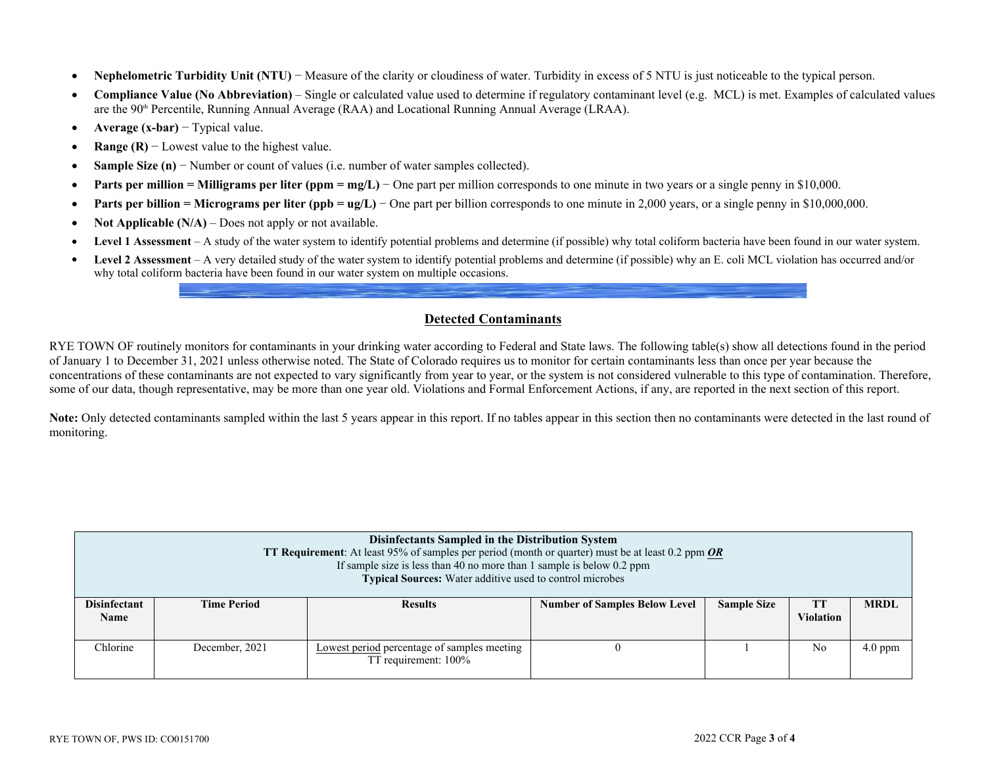- **Nephelometric Turbidity Unit (NTU)** − Measure of the clarity or cloudiness of water. Turbidity in excess of 5 NTU is just noticeable to the typical person.
- **Compliance Value (No Abbreviation)** Single or calculated value used to determine if regulatory contaminant level (e.g. MCL) is met. Examples of calculated values are the 90th Percentile, Running Annual Average (RAA) and Locational Running Annual Average (LRAA).
- **Average (x-bar)** − Typical value.
- **• Range (R)** − Lowest value to the highest value.
- **Sample Size (n)** − Number or count of values (i.e. number of water samples collected).
- **Parts per million = Milligrams per liter (ppm = mg/L)** One part per million corresponds to one minute in two years or a single penny in \$10,000.
- **Parts per billion = Micrograms per liter (ppb = ug/L)** One part per billion corresponds to one minute in 2,000 years, or a single penny in \$10,000,000.
- **Not Applicable (N/A)** Does not apply or not available.
- **Level 1 Assessment** A study of the water system to identify potential problems and determine (if possible) why total coliform bacteria have been found in our water system.
- **Level 2 Assessment** A very detailed study of the water system to identify potential problems and determine (if possible) why an E. coli MCL violation has occurred and/or why total coliform bacteria have been found in our water system on multiple occasions.

# **Detected Contaminants**

RYE TOWN OF routinely monitors for contaminants in your drinking water according to Federal and State laws. The following table(s) show all detections found in the period of January 1 to December 31, 2021 unless otherwise noted. The State of Colorado requires us to monitor for certain contaminants less than once per year because the concentrations of these contaminants are not expected to vary significantly from year to year, or the system is not considered vulnerable to this type of contamination. Therefore, some of our data, though representative, may be more than one year old. Violations and Formal Enforcement Actions, if any, are reported in the next section of this report.

Note: Only detected contaminants sampled within the last 5 years appear in this report. If no tables appear in this section then no contaminants were detected in the last round of monitoring.

| Disinfectants Sampled in the Distribution System<br><b>TT Requirement:</b> At least 95% of samples per period (month or quarter) must be at least 0.2 ppm OR<br>If sample size is less than 40 no more than 1 sample is below $0.2$ ppm<br><b>Typical Sources:</b> Water additive used to control microbes |                    |                                                                     |                                      |                    |                               |             |  |  |
|------------------------------------------------------------------------------------------------------------------------------------------------------------------------------------------------------------------------------------------------------------------------------------------------------------|--------------------|---------------------------------------------------------------------|--------------------------------------|--------------------|-------------------------------|-------------|--|--|
| <b>Disinfectant</b><br><b>Name</b>                                                                                                                                                                                                                                                                         | <b>Time Period</b> | <b>Results</b>                                                      | <b>Number of Samples Below Level</b> | <b>Sample Size</b> | <b>TT</b><br><b>Violation</b> | <b>MRDL</b> |  |  |
| Chlorine                                                                                                                                                                                                                                                                                                   | December, 2021     | Lowest period percentage of samples meeting<br>TT requirement: 100% |                                      |                    | N <sub>0</sub>                | $4.0$ ppm   |  |  |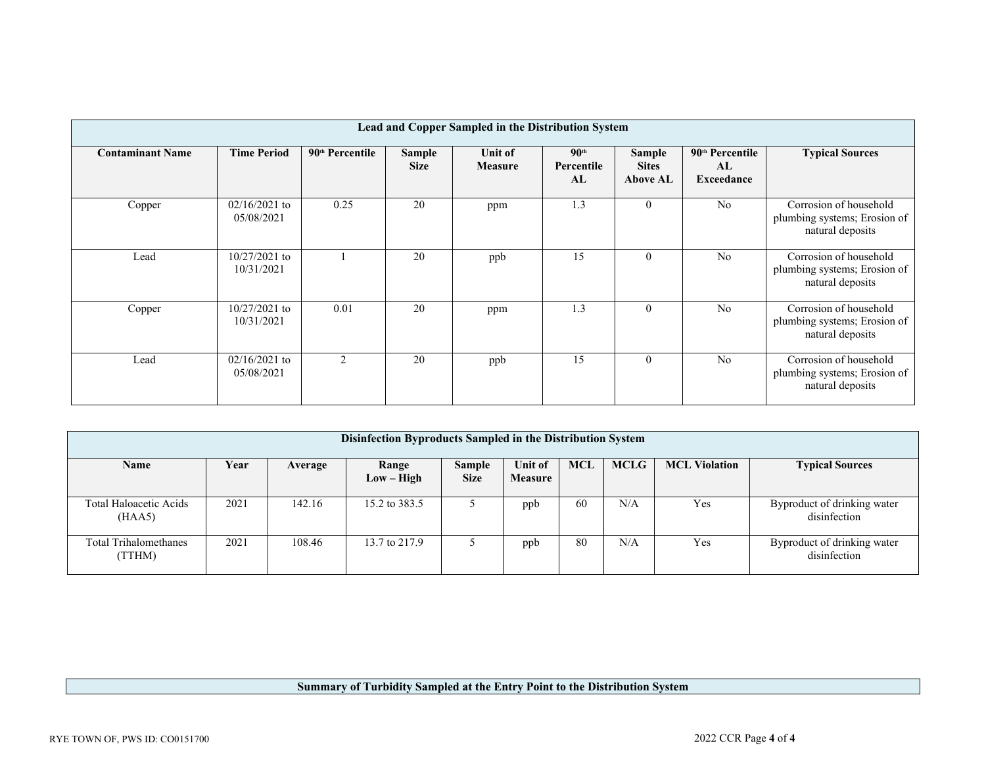|                         | Lead and Copper Sampled in the Distribution System |                             |                       |                           |                                      |                                           |                                                 |                                                                            |  |
|-------------------------|----------------------------------------------------|-----------------------------|-----------------------|---------------------------|--------------------------------------|-------------------------------------------|-------------------------------------------------|----------------------------------------------------------------------------|--|
| <b>Contaminant Name</b> | <b>Time Period</b>                                 | 90 <sup>th</sup> Percentile | Sample<br><b>Size</b> | Unit of<br><b>Measure</b> | 90 <sup>th</sup><br>Percentile<br>AL | Sample<br><b>Sites</b><br><b>Above AL</b> | 90 <sup>th</sup> Percentile<br>AL<br>Exceedance | <b>Typical Sources</b>                                                     |  |
| Copper                  | $02/16/2021$ to<br>05/08/2021                      | 0.25                        | 20                    | ppm                       | 1.3                                  | $\mathbf{0}$                              | No                                              | Corrosion of household<br>plumbing systems; Erosion of<br>natural deposits |  |
| Lead                    | $10/27/2021$ to<br>10/31/2021                      |                             | 20                    | ppb                       | 15                                   | $\mathbf{0}$                              | No                                              | Corrosion of household<br>plumbing systems; Erosion of<br>natural deposits |  |
| Copper                  | $10/27/2021$ to<br>10/31/2021                      | 0.01                        | 20                    | ppm                       | 1.3                                  | $\overline{0}$                            | N <sub>0</sub>                                  | Corrosion of household<br>plumbing systems; Erosion of<br>natural deposits |  |
| Lead                    | $02/16/2021$ to<br>05/08/2021                      | 2                           | 20                    | ppb                       | 15                                   | $\mathbf{0}$                              | No                                              | Corrosion of household<br>plumbing systems; Erosion of<br>natural deposits |  |

| Disinfection Byproducts Sampled in the Distribution System |      |         |                       |                              |                                  |            |             |                      |                                             |
|------------------------------------------------------------|------|---------|-----------------------|------------------------------|----------------------------------|------------|-------------|----------------------|---------------------------------------------|
| <b>Name</b>                                                | Year | Average | Range<br>$Low - High$ | <b>Sample</b><br><b>Size</b> | <b>Unit of</b><br><b>Measure</b> | <b>MCL</b> | <b>MCLG</b> | <b>MCL Violation</b> | <b>Typical Sources</b>                      |
| Total Haloacetic Acids<br>(HAA5)                           | 2021 | 142.16  | 15.2 to 383.5         |                              | ppb                              | 60         | N/A         | Yes                  | Byproduct of drinking water<br>disinfection |
| <b>Total Trihalomethanes</b><br>(TTHM)                     | 2021 | 108.46  | 13.7 to 217.9         |                              | ppb                              | 80         | N/A         | Yes                  | Byproduct of drinking water<br>disinfection |

# **Summary of Turbidity Sampled at the Entry Point to the Distribution System**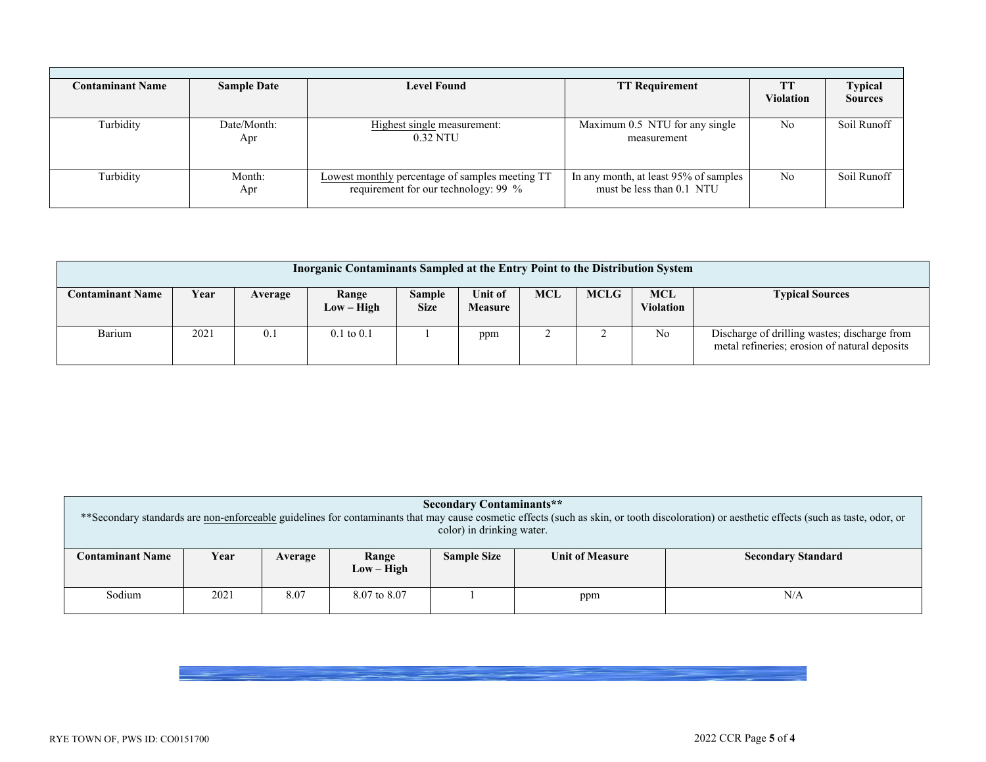| <b>Contaminant Name</b> | <b>Sample Date</b> | <b>Level Found</b>                                                                      | <b>TT Requirement</b>                                              | <b>Violation</b> | <b>Typical</b><br><b>Sources</b> |
|-------------------------|--------------------|-----------------------------------------------------------------------------------------|--------------------------------------------------------------------|------------------|----------------------------------|
| Turbidity               | Date/Month:<br>Apr | Highest single measurement:<br>0.32 NTU                                                 | Maximum 0.5 NTU for any single<br>measurement                      | No               | Soil Runoff                      |
| Turbidity               | Month:<br>Apr      | Lowest monthly percentage of samples meeting TT<br>requirement for our technology: 99 % | In any month, at least 95% of samples<br>must be less than 0.1 NTU | N <sub>0</sub>   | Soil Runoff                      |

| Inorganic Contaminants Sampled at the Entry Point to the Distribution System |      |         |                       |                              |                           |     |             |                                |                                                                                               |
|------------------------------------------------------------------------------|------|---------|-----------------------|------------------------------|---------------------------|-----|-------------|--------------------------------|-----------------------------------------------------------------------------------------------|
| <b>Contaminant Name</b>                                                      | Year | Average | Range<br>$Low - High$ | <b>Sample</b><br><b>Size</b> | Unit of<br><b>Measure</b> | MCL | <b>MCLG</b> | <b>MCL</b><br><b>Violation</b> | <b>Typical Sources</b>                                                                        |
| Barium                                                                       | 2021 | 0.1     | $0.1 \text{ to } 0.1$ |                              | ppm                       | ∼   |             | N <sub>o</sub>                 | Discharge of drilling wastes; discharge from<br>metal refineries; erosion of natural deposits |

| <b>Secondary Contaminants**</b><br>** Secondary standards are non-enforceable guidelines for contaminants that may cause cosmetic effects (such as skin, or tooth discoloration) or aesthetic effects (such as taste, odor, or<br>color) in drinking water. |      |         |                       |                    |                        |                           |  |  |
|-------------------------------------------------------------------------------------------------------------------------------------------------------------------------------------------------------------------------------------------------------------|------|---------|-----------------------|--------------------|------------------------|---------------------------|--|--|
| <b>Contaminant Name</b>                                                                                                                                                                                                                                     | Year | Average | Range<br>$Low - High$ | <b>Sample Size</b> | <b>Unit of Measure</b> | <b>Secondary Standard</b> |  |  |
| Sodium                                                                                                                                                                                                                                                      | 2021 | 8.07    | 8.07 to 8.07          |                    | ppm                    | N/A                       |  |  |

RYE TOWN OF, PWS ID: CO0151700 2022 CCR Page **5** of **4**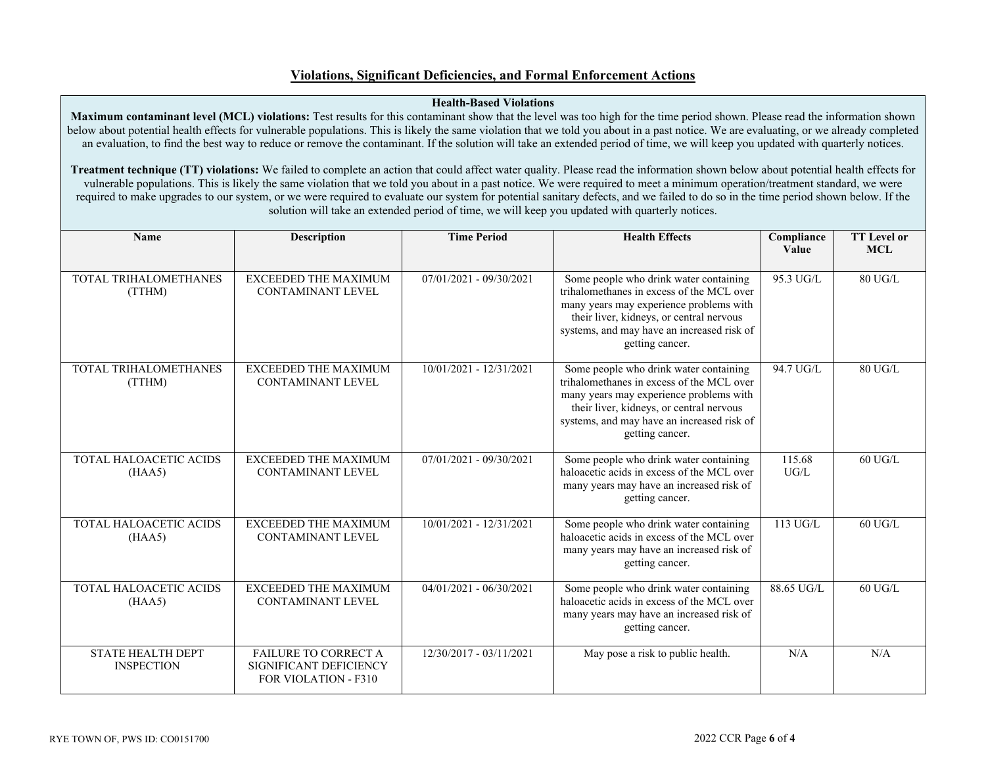# **Violations, Significant Deficiencies, and Formal Enforcement Actions**

#### **Health-Based Violations**

**Maximum contaminant level (MCL) violations:** Test results for this contaminant show that the level was too high for the time period shown. Please read the information shown below about potential health effects for vulnerable populations. This is likely the same violation that we told you about in a past notice. We are evaluating, or we already completed an evaluation, to find the best way to reduce or remove the contaminant. If the solution will take an extended period of time, we will keep you updated with quarterly notices.

**Treatment technique (TT) violations:** We failed to complete an action that could affect water quality. Please read the information shown below about potential health effects for vulnerable populations. This is likely the same violation that we told you about in a past notice. We were required to meet a minimum operation/treatment standard, we were required to make upgrades to our system, or we were required to evaluate our system for potential sanitary defects, and we failed to do so in the time period shown below. If the solution will take an extended period of time, we will keep you updated with quarterly notices.

| <b>Name</b>                                   | <b>Description</b>                                                                   | <b>Time Period</b>        | <b>Health Effects</b>                                                                                                                                                                                                                       | Compliance<br>Value | <b>TT</b> Level or<br><b>MCL</b> |
|-----------------------------------------------|--------------------------------------------------------------------------------------|---------------------------|---------------------------------------------------------------------------------------------------------------------------------------------------------------------------------------------------------------------------------------------|---------------------|----------------------------------|
| TOTAL TRIHALOMETHANES<br>(TTHM)               | <b>EXCEEDED THE MAXIMUM</b><br><b>CONTAMINANT LEVEL</b>                              | $07/01/2021 - 09/30/2021$ | Some people who drink water containing<br>trihalomethanes in excess of the MCL over<br>many years may experience problems with<br>their liver, kidneys, or central nervous<br>systems, and may have an increased risk of<br>getting cancer. | 95.3 UG/L           | 80 UG/L                          |
| TOTAL TRIHALOMETHANES<br>(TTHM)               | <b>EXCEEDED THE MAXIMUM</b><br><b>CONTAMINANT LEVEL</b>                              | 10/01/2021 - 12/31/2021   | Some people who drink water containing<br>trihalomethanes in excess of the MCL over<br>many years may experience problems with<br>their liver, kidneys, or central nervous<br>systems, and may have an increased risk of<br>getting cancer. | 94.7 UG/L           | 80 UG/L                          |
| TOTAL HALOACETIC ACIDS<br>(HAA5)              | EXCEEDED THE MAXIMUM<br><b>CONTAMINANT LEVEL</b>                                     | 07/01/2021 - 09/30/2021   | Some people who drink water containing<br>haloacetic acids in excess of the MCL over<br>many years may have an increased risk of<br>getting cancer.                                                                                         | 115.68<br>UG/L      | $60$ UG/L                        |
| TOTAL HALOACETIC ACIDS<br>(HAA5)              | <b>EXCEEDED THE MAXIMUM</b><br><b>CONTAMINANT LEVEL</b>                              | 10/01/2021 - 12/31/2021   | Some people who drink water containing<br>haloacetic acids in excess of the MCL over<br>many years may have an increased risk of<br>getting cancer.                                                                                         | 113 UG/L            | $60$ UG/L                        |
| TOTAL HALOACETIC ACIDS<br>(HAA5)              | <b>EXCEEDED THE MAXIMUM</b><br><b>CONTAMINANT LEVEL</b>                              | $04/01/2021 - 06/30/2021$ | Some people who drink water containing<br>haloacetic acids in excess of the MCL over<br>many years may have an increased risk of<br>getting cancer.                                                                                         | 88.65 UG/L          | $60$ UG/L                        |
| <b>STATE HEALTH DEPT</b><br><b>INSPECTION</b> | <b>FAILURE TO CORRECT A</b><br>SIGNIFICANT DEFICIENCY<br><b>FOR VIOLATION - F310</b> | 12/30/2017 - 03/11/2021   | May pose a risk to public health.                                                                                                                                                                                                           | N/A                 | N/A                              |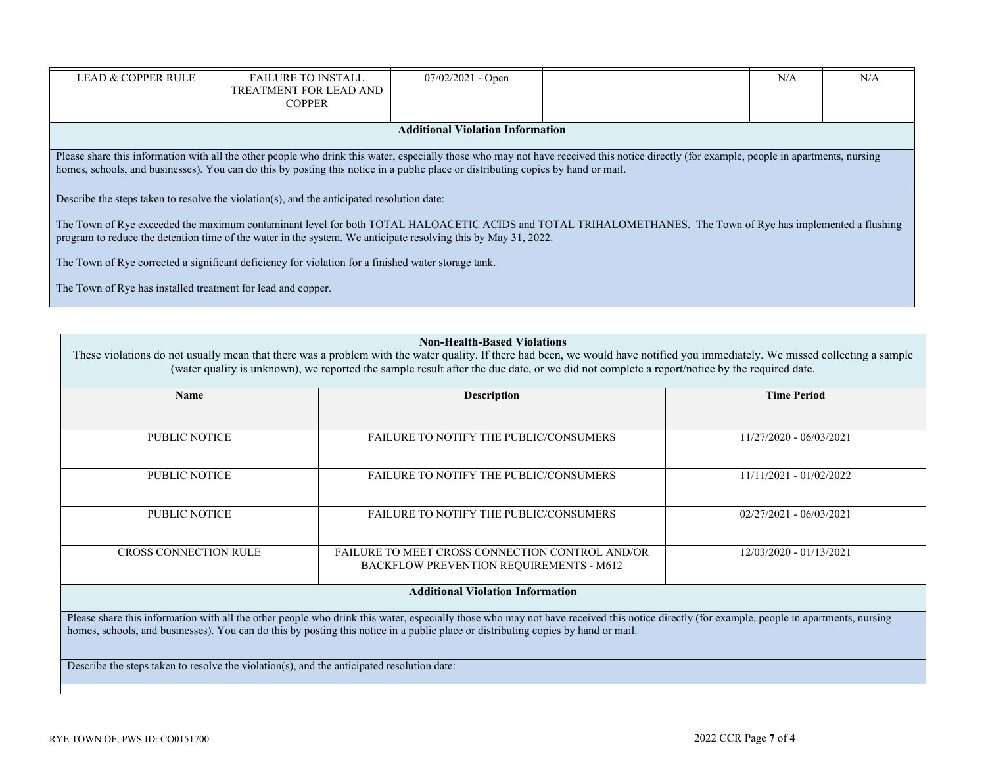| <b>LEAD &amp; COPPER RULE</b>                                                                                                                                                                                                                                                                                                  | <b>FAILURE TO INSTALL</b><br>TREATMENT FOR LEAD AND<br><b>COPPER</b>                       | $07/02/2021$ - Open |  | N/A | N/A |  |  |  |
|--------------------------------------------------------------------------------------------------------------------------------------------------------------------------------------------------------------------------------------------------------------------------------------------------------------------------------|--------------------------------------------------------------------------------------------|---------------------|--|-----|-----|--|--|--|
| <b>Additional Violation Information</b>                                                                                                                                                                                                                                                                                        |                                                                                            |                     |  |     |     |  |  |  |
| Please share this information with all the other people who drink this water, especially those who may not have received this notice directly (for example, people in apartments, nursing<br>homes, schools, and businesses). You can do this by posting this notice in a public place or distributing copies by hand or mail. |                                                                                            |                     |  |     |     |  |  |  |
|                                                                                                                                                                                                                                                                                                                                | Describe the steps taken to resolve the violation(s), and the anticipated resolution date: |                     |  |     |     |  |  |  |
| The Town of Rye exceeded the maximum contaminant level for both TOTAL HALOACETIC ACIDS and TOTAL TRIHALOMETHANES. The Town of Rye has implemented a flushing<br>program to reduce the detention time of the water in the system. We anticipate resolving this by May 31, 2022.                                                 |                                                                                            |                     |  |     |     |  |  |  |
| The Town of Rye corrected a significant deficiency for violation for a finished water storage tank.                                                                                                                                                                                                                            |                                                                                            |                     |  |     |     |  |  |  |
| The Town of Rye has installed treatment for lead and copper.                                                                                                                                                                                                                                                                   |                                                                                            |                     |  |     |     |  |  |  |

| <b>Non-Health-Based Violations</b> |
|------------------------------------|
|------------------------------------|

These violations do not usually mean that there was a problem with the water quality. If there had been, we would have notified you immediately. We missed collecting a sample (water quality is unknown), we reported the sample result after the due date, or we did not complete a report/notice by the required date.

| Name                                    | <b>Description</b>                                                                                                                                                                     | <b>Time Period</b>        |  |  |  |  |
|-----------------------------------------|----------------------------------------------------------------------------------------------------------------------------------------------------------------------------------------|---------------------------|--|--|--|--|
|                                         |                                                                                                                                                                                        |                           |  |  |  |  |
| PUBLIC NOTICE                           | <b>FAILURE TO NOTIFY THE PUBLIC/CONSUMERS</b>                                                                                                                                          | 11/27/2020 - 06/03/2021   |  |  |  |  |
|                                         |                                                                                                                                                                                        |                           |  |  |  |  |
| <b>PUBLIC NOTICE</b>                    | <b>FAILURE TO NOTIFY THE PUBLIC/CONSUMERS</b>                                                                                                                                          | 11/11/2021 - 01/02/2022   |  |  |  |  |
|                                         |                                                                                                                                                                                        |                           |  |  |  |  |
| <b>PUBLIC NOTICE</b>                    | <b>FAILURE TO NOTIFY THE PUBLIC/CONSUMERS</b>                                                                                                                                          | $02/27/2021 - 06/03/2021$ |  |  |  |  |
|                                         |                                                                                                                                                                                        |                           |  |  |  |  |
| <b>CROSS CONNECTION RULE</b>            | FAILURE TO MEET CROSS CONNECTION CONTROL AND/OR<br>BACKFLOW PREVENTION REQUIREMENTS - M612                                                                                             | 12/03/2020 - 01/13/2021   |  |  |  |  |
|                                         |                                                                                                                                                                                        |                           |  |  |  |  |
| <b>Additional Violation Information</b> |                                                                                                                                                                                        |                           |  |  |  |  |
|                                         | Please share this information with all the other people who drink this water especially those who may not have received this notice directly (for example people in apartments nursing |                           |  |  |  |  |

Please share this information with all the other people who drink this water, especially those who may not have received this notice directly (for example, people in apartments, nursing homes, schools, and businesses). You can do this by posting this notice in a public place or distributing copies by hand or mail.

Describe the steps taken to resolve the violation(s), and the anticipated resolution date: